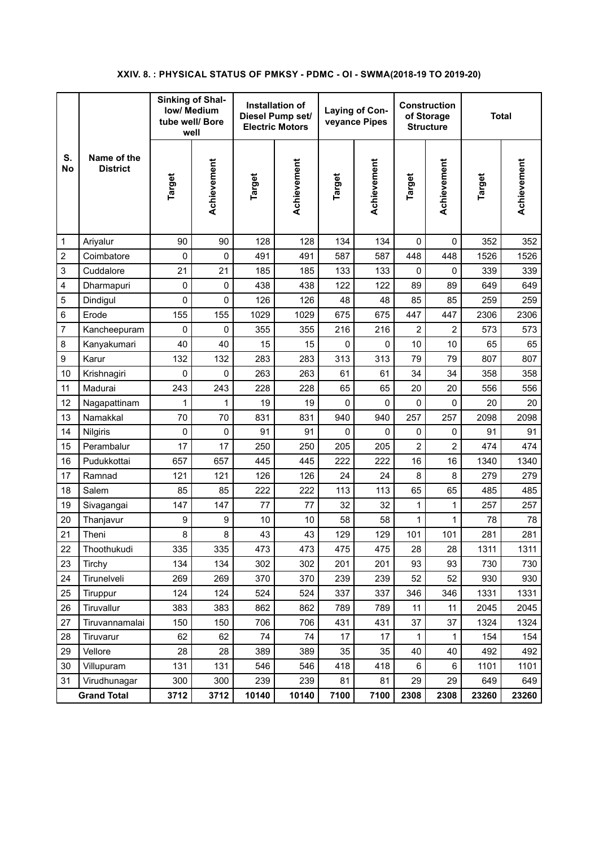## **XXIV. 8. : PHYSICAL STATUS OF PMKSY - PDMC - OI - SWMA(2018-19 TO 2019-20)**

|                    |                                | <b>Sinking of Shal-</b><br><b>low/ Medium</b><br>tube well/ Bore<br>well |             | Installation of<br>Diesel Pump set/<br><b>Electric Motors</b> |             | Laying of Con-<br>veyance Pipes |             | <b>Construction</b><br>of Storage<br><b>Structure</b> |                | <b>Total</b> |             |
|--------------------|--------------------------------|--------------------------------------------------------------------------|-------------|---------------------------------------------------------------|-------------|---------------------------------|-------------|-------------------------------------------------------|----------------|--------------|-------------|
| S.<br><b>No</b>    | Name of the<br><b>District</b> | Target                                                                   | Achievement | Target                                                        | Achievement | Target                          | Achievement | Target                                                | Achievement    | Target       | Achievement |
| 1                  | Ariyalur                       | 90                                                                       | 90          | 128                                                           | 128         | 134                             | 134         | $\Omega$                                              | $\mathbf 0$    | 352          | 352         |
| 2                  | Coimbatore                     | 0                                                                        | 0           | 491                                                           | 491         | 587                             | 587         | 448                                                   | 448            | 1526         | 1526        |
| 3                  | Cuddalore                      | 21                                                                       | 21          | 185                                                           | 185         | 133                             | 133         | $\mathbf 0$                                           | $\mathbf 0$    | 339          | 339         |
| 4                  | Dharmapuri                     | 0                                                                        | 0           | 438                                                           | 438         | 122                             | 122         | 89                                                    | 89             | 649          | 649         |
| 5                  | Dindigul                       | 0                                                                        | 0           | 126                                                           | 126         | 48                              | 48          | 85                                                    | 85             | 259          | 259         |
| 6                  | Erode                          | 155                                                                      | 155         | 1029                                                          | 1029        | 675                             | 675         | 447                                                   | 447            | 2306         | 2306        |
| 7                  | Kancheepuram                   | 0                                                                        | 0           | 355                                                           | 355         | 216                             | 216         | 2                                                     | $\overline{2}$ | 573          | 573         |
| 8                  | Kanyakumari                    | 40                                                                       | 40          | 15                                                            | 15          | 0                               | 0           | 10                                                    | 10             | 65           | 65          |
| 9                  | Karur                          | 132                                                                      | 132         | 283                                                           | 283         | 313                             | 313         | 79                                                    | 79             | 807          | 807         |
| 10                 | Krishnagiri                    | 0                                                                        | 0           | 263                                                           | 263         | 61                              | 61          | 34                                                    | 34             | 358          | 358         |
| 11                 | Madurai                        | 243                                                                      | 243         | 228                                                           | 228         | 65                              | 65          | 20                                                    | 20             | 556          | 556         |
| 12                 | Nagapattinam                   | 1                                                                        | 1           | 19                                                            | 19          | 0                               | 0           | 0                                                     | 0              | 20           | 20          |
| 13                 | Namakkal                       | 70                                                                       | 70          | 831                                                           | 831         | 940                             | 940         | 257                                                   | 257            | 2098         | 2098        |
| 14                 | Nilgiris                       | 0                                                                        | 0           | 91                                                            | 91          | 0                               | 0           | 0                                                     | 0              | 91           | 91          |
| 15                 | Perambalur                     | 17                                                                       | 17          | 250                                                           | 250         | 205                             | 205         | $\overline{c}$                                        | $\overline{c}$ | 474          | 474         |
| 16                 | Pudukkottai                    | 657                                                                      | 657         | 445                                                           | 445         | 222                             | 222         | 16                                                    | 16             | 1340         | 1340        |
| 17                 | Ramnad                         | 121                                                                      | 121         | 126                                                           | 126         | 24                              | 24          | 8                                                     | 8              | 279          | 279         |
| 18                 | Salem                          | 85                                                                       | 85          | 222                                                           | 222         | 113                             | 113         | 65                                                    | 65             | 485          | 485         |
| 19                 | Sivagangai                     | 147                                                                      | 147         | 77                                                            | 77          | 32                              | 32          | 1                                                     | 1              | 257          | 257         |
| 20                 | Thanjavur                      | 9                                                                        | 9           | 10                                                            | 10          | 58                              | 58          | 1                                                     | 1              | 78           | 78          |
| 21                 | Theni                          | 8                                                                        | 8           | 43                                                            | 43          | 129                             | 129         | 101                                                   | 101            | 281          | 281         |
| 22                 | Thoothukudi                    | 335                                                                      | 335         | 473                                                           | 473         | 475                             | 475         | 28                                                    | 28             | 1311         | 1311        |
| 23                 | Tirchy                         | 134                                                                      | 134         | 302                                                           | 302         | 201                             | 201         | 93                                                    | 93             | 730          | 730         |
| 24                 | Tirunelveli                    | 269                                                                      | 269         | 370                                                           | 370         | 239                             | 239         | 52                                                    | 52             | 930          | 930         |
| 25                 | Tiruppur                       | 124                                                                      | 124         | 524                                                           | 524         | 337                             | 337         | 346                                                   | 346            | 1331         | 1331        |
| 26                 | Tiruvallur                     | 383                                                                      | 383         | 862                                                           | 862         | 789                             | 789         | 11                                                    | 11             | 2045         | 2045        |
| 27                 | Tiruvannamalai                 | 150                                                                      | 150         | 706                                                           | 706         | 431                             | 431         | 37                                                    | 37             | 1324         | 1324        |
| 28                 | Tiruvarur                      | 62                                                                       | 62          | 74                                                            | 74          | 17                              | 17          | 1                                                     | $\mathbf{1}$   | 154          | 154         |
| 29                 | Vellore                        | 28                                                                       | 28          | 389                                                           | 389         | 35                              | 35          | 40                                                    | 40             | 492          | 492         |
| 30                 | Villupuram                     | 131                                                                      | 131         | 546                                                           | 546         | 418                             | 418         | $\,6$                                                 | $\,6$          | 1101         | 1101        |
| 31                 | Virudhunagar                   | 300                                                                      | 300         | 239                                                           | 239         | 81                              | 81          | 29                                                    | 29             | 649          | 649         |
| <b>Grand Total</b> |                                | 3712                                                                     | 3712        | 10140                                                         | 10140       | 7100                            | 7100        | 2308                                                  | 2308           | 23260        | 23260       |